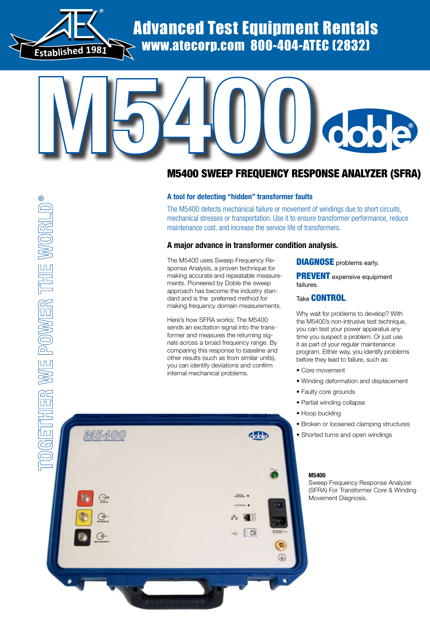

Advanced Test Equipment Rentals www.atecorp.com 800-404-ATEC (2832)

# **M5400**

## M5400 Sweep Frequency Response Analyzer (SFRA)

### **A tool for detecting "hidden" transformer faults**

The M5400 detects mechanical failure or movement of windings due to short circuits, mechanical stresses or transportation. Use it to ensure transformer performance, reduce maintenance cost, and increase the service life of transformers.

### **A major advance in transformer condition analysis.**

The M5400 uses Sweep Frequency Response Analysis, a proven technique for making accurate and repeatable measurements. Pioneered by Doble the sweep approach has become the industry standard and is the preferred method for making frequency domain measurements.

Here's how SFRA works: The M5400 sends an excitation signal into the transformer and measures the returning signals across a broad frequency range. By comparing this response to baseline and other results (such as from similar units), you can identify deviations and confirm internal mechanical problems.

**DIAGNOSE** problems early.

**PREVENT** expensive equipment failures.

### Take CONTROL.

Why wait for problems to develop? With the M5400's non-intrusive test technique, you can test your power apparatus any time you suspect a problem. Or just use it as part of your regular maintenance program. Either way, you identify problems before they lead to failure, such as:

- Core movement
- Winding deformation and displacement
- Faulty core grounds
- Partial winding collapse
- Hoop buckling
- Broken or loosened clamping structures
- Shorted turns and open windings

### **M5400**

Sweep Frequency Response Analyzer (SFRA) For Transformer Core & Winding Movement Diagnosis.